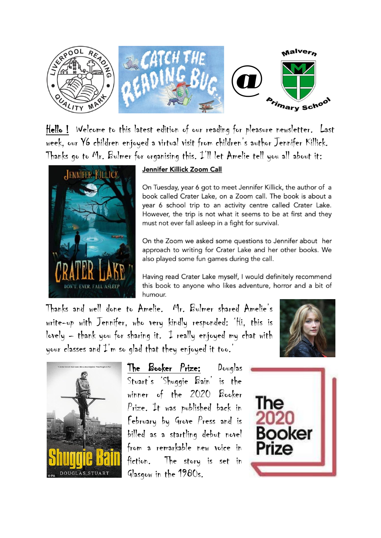

Hello ! Welcome to this latest edition of our reading for pleasure newsletter. Last week, our Y6 children enjoyed a virtual visit from children's author Jennifer Killick. Thanks go to Mr. Bulmer for organising this. I'll let Amelie tell you all about it:



## Jennifer Killick Zoom Call

On Tuesday, year 6 got to meet Jennifer Killick, the author of a book called Crater Lake, on a Zoom call. The book is about a year 6 school trip to an activity centre called Crater Lake. However, the trip is not what it seems to be at first and they must not ever fall asleep in a fight for survival.

On the Zoom we asked some questions to Jennifer about her approach to writing for Crater Lake and her other books. We also played some fun games during the call.

Having read Crater Lake myself, I would definitely recommend this book to anyone who likes adventure, horror and a bit of humour.

Thanks and well done to Amelie. Mr. Bulmer shared Amelie's write-up with Jennifer, who very kindly responded: 'Hi, this is lovely – thank you for sharing it. I really enjoyed my chat with your classes and  $\mathcal{I}'$ m so glad that they enjoyed it too.





The Booker Prize: Douglas Stuart's 'Shuggie Bain' is the winner of the 2020 Booker Prize. It was published back in February by Grove Press and is billed as a startling debut novel from a remarkable new voice in fiction. The story is set in Glasgow in the 1980s.